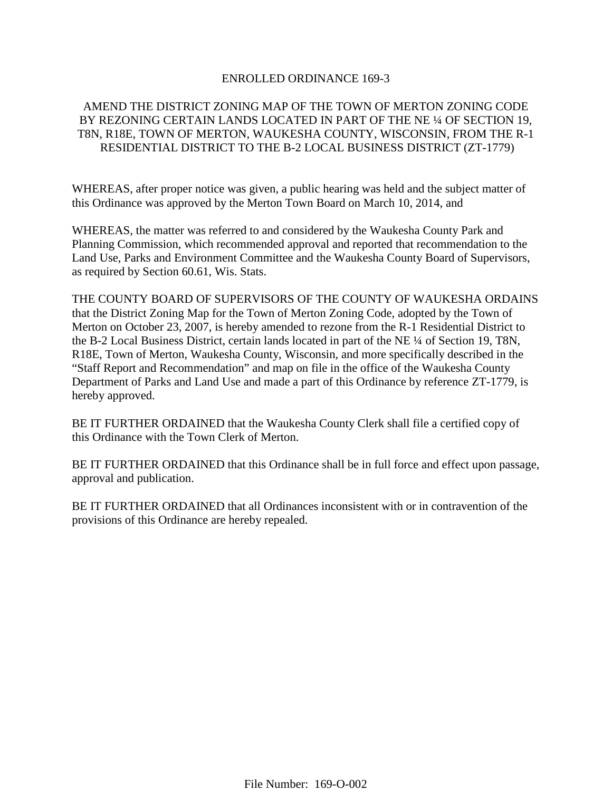### ENROLLED ORDINANCE 169-3

## AMEND THE DISTRICT ZONING MAP OF THE TOWN OF MERTON ZONING CODE BY REZONING CERTAIN LANDS LOCATED IN PART OF THE NE ¼ OF SECTION 19, T8N, R18E, TOWN OF MERTON, WAUKESHA COUNTY, WISCONSIN, FROM THE R-1 RESIDENTIAL DISTRICT TO THE B-2 LOCAL BUSINESS DISTRICT (ZT-1779)

WHEREAS, after proper notice was given, a public hearing was held and the subject matter of this Ordinance was approved by the Merton Town Board on March 10, 2014, and

WHEREAS, the matter was referred to and considered by the Waukesha County Park and Planning Commission, which recommended approval and reported that recommendation to the Land Use, Parks and Environment Committee and the Waukesha County Board of Supervisors, as required by Section 60.61, Wis. Stats.

THE COUNTY BOARD OF SUPERVISORS OF THE COUNTY OF WAUKESHA ORDAINS that the District Zoning Map for the Town of Merton Zoning Code, adopted by the Town of Merton on October 23, 2007, is hereby amended to rezone from the R-1 Residential District to the B-2 Local Business District, certain lands located in part of the NE ¼ of Section 19, T8N, R18E, Town of Merton, Waukesha County, Wisconsin, and more specifically described in the "Staff Report and Recommendation" and map on file in the office of the Waukesha County Department of Parks and Land Use and made a part of this Ordinance by reference ZT-1779, is hereby approved.

BE IT FURTHER ORDAINED that the Waukesha County Clerk shall file a certified copy of this Ordinance with the Town Clerk of Merton.

BE IT FURTHER ORDAINED that this Ordinance shall be in full force and effect upon passage, approval and publication.

BE IT FURTHER ORDAINED that all Ordinances inconsistent with or in contravention of the provisions of this Ordinance are hereby repealed.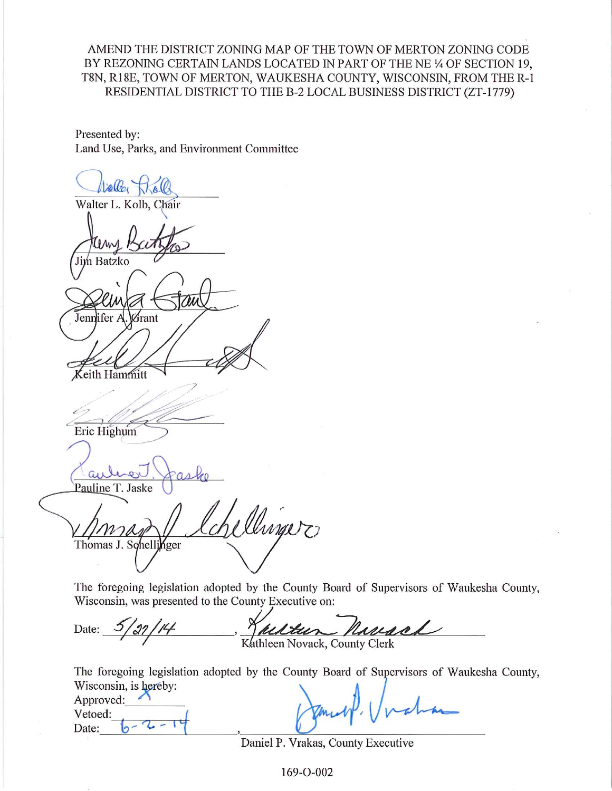## AMEND THE DISTRICT ZONING MAP OF THE TOWN OF MERTON ZONING CODE BY REZONING CERTAIN LANDS LOCATED IN PART OF THE NE 1/4 OF SECTION 19, T8N, R18E, TOWN OF MERTON, WAUKESHA COUNTY, WISCONSIN, FROM THE R-1 RESIDENTIAL DISTRICT TO THE B-2 LOCAL BUSINESS DISTRICT (ZT-1779)

Presented by: Land Use, Parks, and Environment Committee

Dollton Walter L. Kolb, Chair Jim Batzko Jennifer /  $\mathcal{G}% _{n+1}=\mathcal{G}_{n+1}$ rant keith Hammitt Eric Highum Pauline T. Jaske Chinger Thomas J. Schellinger

The foregoing legislation adopted by the County Board of Supervisors of Waukesha County, Wisconsin, was presented to the County Executive on:

Date: mand Kathleen Novack, County Clerk

The foregoing legislation adopted by the County Board of Supervisors of Waukesha County, Wisconsin is hereby:

| $\cdots$<br>Approved: |                                                 |
|-----------------------|-------------------------------------------------|
| Vetoed:               | ratha<br>$\mathcal{J}_{\mu\nu}$ , $\mathcal{N}$ |
| Date:                 |                                                 |
|                       |                                                 |

Daniel P. Vrakas, County Executive

169-O-002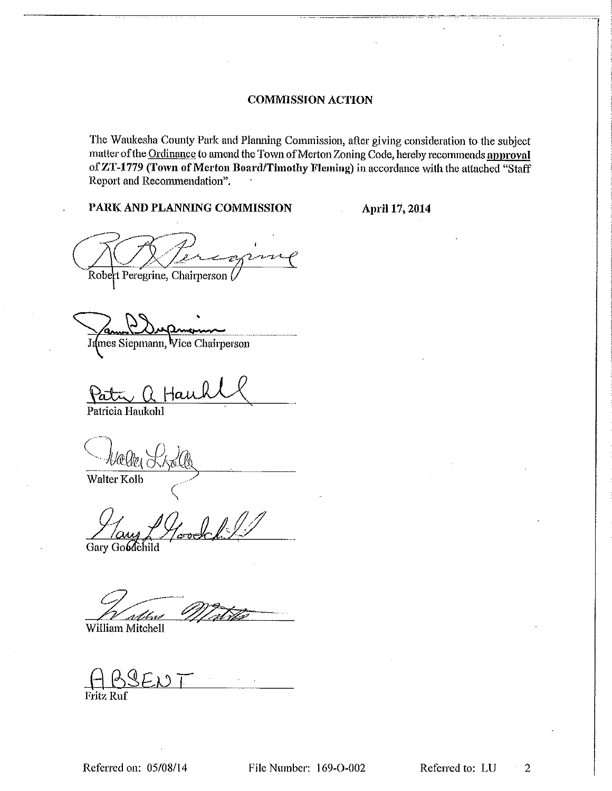### **COMMISSION ACTION**

The Waukesha County Park and Planning Commission, after giving consideration to the subject matter of the Ordinance to amend the Town of Merton Zoning Code, hereby recommends approval of ZT-1779 (Town of Merton Board/Timothy Fleming) in accordance with the attached "Staff Report and Recommendation".

#### PARK AND PLANNING COMMISSION

April 17, 2014

Robert Peregrine, Chairperson (

James Siepmann, Vice Chairperson

Pat

Patricia Haukohl

Walter Kolb

Gary Goldchild

William Mitchell

Fritz Ruf

File Number: 169-O-002

Referred to: LU  $\overline{2}$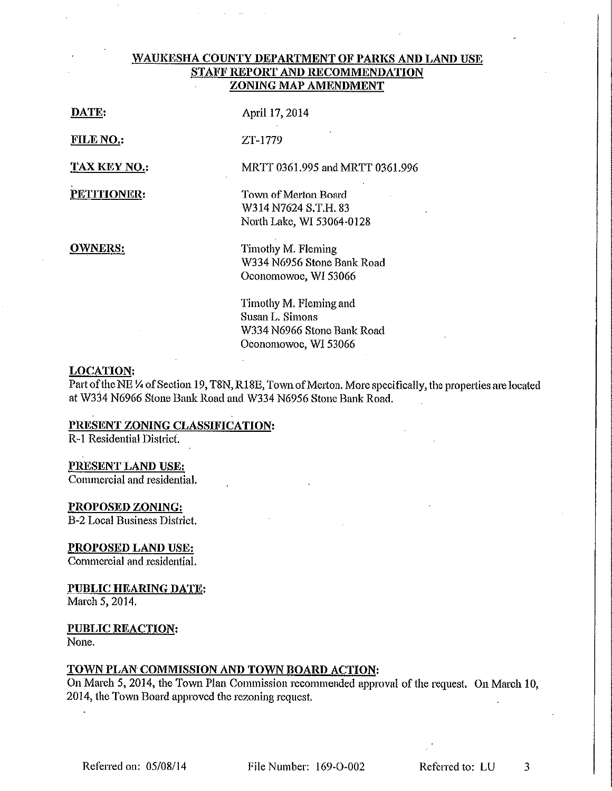### WAUKESHA COUNTY DEPARTMENT OF PARKS AND LAND USE STAFF REPORT AND RECOMMENDATION ZONING MAP AMENDMENT

| $\mathbf{I}$ |  | ATE |
|--------------|--|-----|
|              |  |     |

April 17, 2014

ZT-1779

FILE NO.:

**TAX KEY NO.:** 

PETITIONER:

Town of Merton Board

MRTT 0361.995 and MRTT 0361.996

W314 N7624 S.T.H. 83 North Lake, WI 53064-0128

**OWNERS:** 

Timothy M. Fleming W334 N6956 Stone Bank Road Oconomowoc, WI 53066

Timothy M. Fleming and Susan L. Simons W334 N6966 Stone Bank Road Oconomowoc, WI 53066

#### **LOCATION:**

Part of the NE 1/4 of Section 19, T8N, R18E, Town of Merton. More specifically, the properties are located at W334 N6966 Stone Bank Road and W334 N6956 Stone Bank Road.

## PRESENT ZONING CLASSIFICATION:

R-1 Residential District.

### PRESENT LAND USE:

Commercial and residential.

#### PROPOSED ZONING:

**B-2 Local Business District.** 

## **PROPOSED LAND USE:**

Commercial and residential.

#### PUBLIC HEARING DATE:

March 5, 2014.

## PUBLIC REACTION:

None.

## TOWN PLAN COMMISSION AND TOWN BOARD ACTION:

On March 5, 2014, the Town Plan Commission recommended approval of the request. On March 10, 2014, the Town Board approved the rezoning request.

File Number: 169-O-002

Referred to: LU

3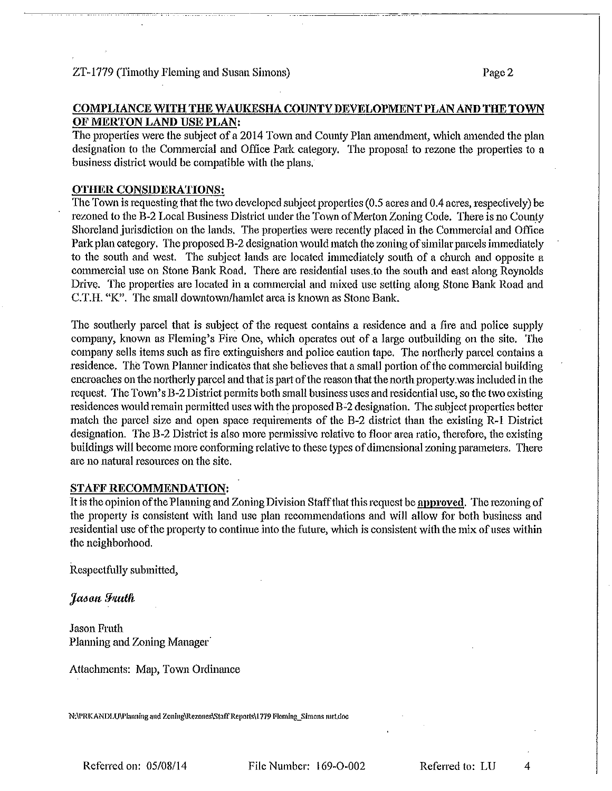# COMPLIANCE WITH THE WAUKESHA COUNTY DEVELOPMENT PLAN AND THE TOWN OF MERTON LAND USE PLAN:

The properties were the subject of a 2014 Town and County Plan amendment, which amended the plan designation to the Commercial and Office Park category. The proposal to rezone the properties to a business district would be compatible with the plans.

## **OTHER CONSIDERATIONS:**

The Town is requesting that the two developed subject properties (0.5 acres and 0.4 acres, respectively) be rezoned to the B-2 Local Business District under the Town of Merton Zoning Code. There is no County Shoreland jurisdiction on the lands. The properties were recently placed in the Commercial and Office Park plan category. The proposed B-2 designation would match the zoning of similar parcels immediately to the south and west. The subject lands are located immediately south of a church and opposite a commercial use on Stone Bank Road, There are residential uses to the south and east along Reynolds Drive. The properties are located in a commercial and mixed use setting along Stone Bank Road and C.T.H. "K". The small downtown/hamlet area is known as Stone Bank.

The southerly parcel that is subject of the request contains a residence and a fire and police supply company, known as Fleming's Fire One, which operates out of a large outbuilding on the site. The company sells items such as fire extinguishers and police caution tape. The northerly parcel contains a residence. The Town Planner indicates that she believes that a small portion of the commercial building encroaches on the northerly parcel and that is part of the reason that the north property was included in the request. The Town's B-2 District permits both small business uses and residential use, so the two existing residences would remain permitted uses with the proposed  $B-2$  designation. The subject properties better match the parcel size and open space requirements of the B-2 district than the existing R-1 District designation. The B-2 District is also more permissive relative to floor area ratio, therefore, the existing buildings will become more conforming relative to these types of dimensional zoning parameters. There are no natural resources on the site.

## **STAFF RECOMMENDATION:**

It is the opinion of the Planning and Zoning Division Staff that this request be approved. The rezoning of the property is consistent with land use plan recommendations and will allow for both business and residential use of the property to continue into the future, which is consistent with the mix of uses within the neighborhood.

Respectfully submitted,

Jason Fruth

**Jason Fruth** Planning and Zoning Manager

Attachments: Map, Town Ordinance

N:\PRKANDLU\Planning and Zoning\Rezones\Staff Reports\1779 Fleming Simons mrt.doc

Referred on: 05/08/14

Referred to: LU

4

Page 2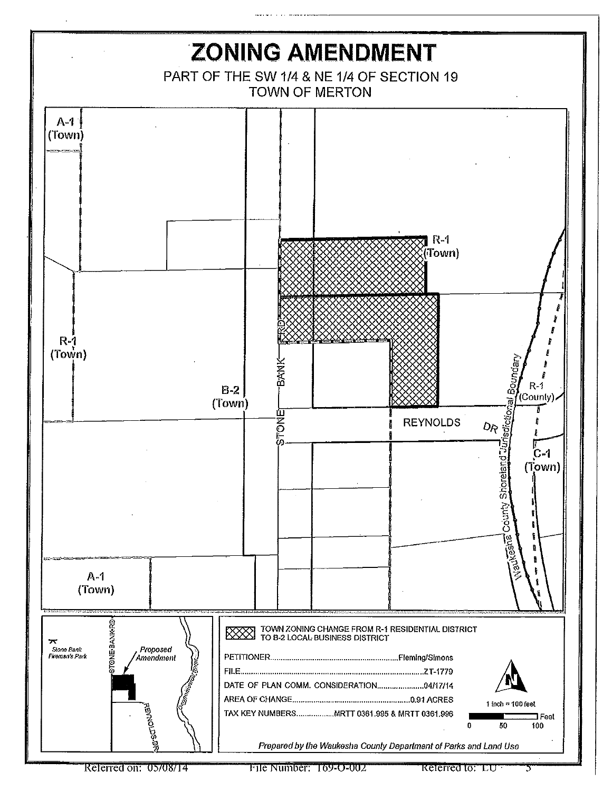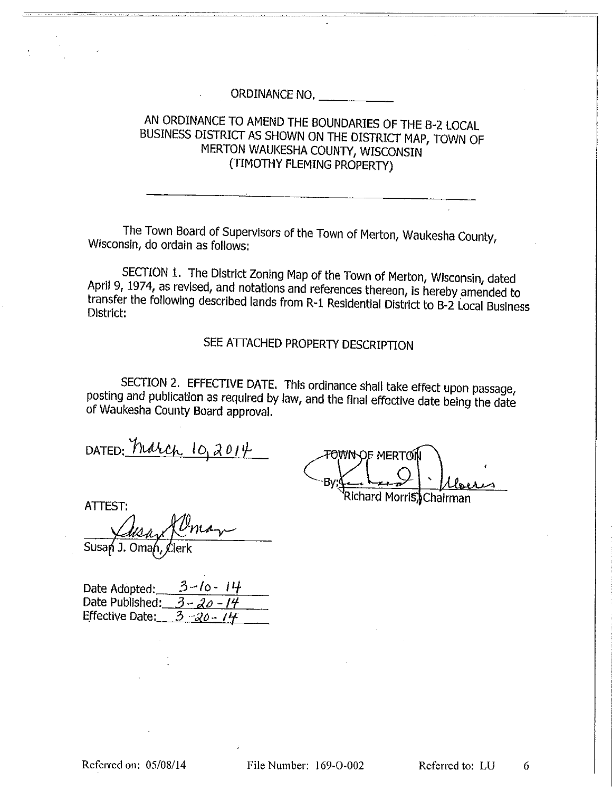ORDINANCE NO.

## AN ORDINANCE TO AMEND THE BOUNDARIES OF THE B-2 LOCAL BUSINESS DISTRICT AS SHOWN ON THE DISTRICT MAP, TOWN OF MERTON WAUKESHA COUNTY, WISCONSIN (TIMOTHY FLEMING PROPERTY)

The Town Board of Supervisors of the Town of Merton, Waukesha County, Wisconsin, do ordain as follows:

SECTION 1. The District Zoning Map of the Town of Merton, Wisconsin, dated April 9, 1974, as revised, and notations and references thereon, is hereby amended to transfer the following described lands from R-1 Residential District to B-2 Local Business District:

SEE ATTACHED PROPERTY DESCRIPTION

SECTION 2. EFFECTIVE DATE. This ordinance shall take effect upon passage, posting and publication as required by law, and the final effective date being the date of Waukesha County Board approval.

DATED: March 10,2014

**FOWN OF MERTON** Bv: Richard Morris, Chairman

ATTEST:

Susan J. Omah,

Date Adopted: Date Published:  $3 - 20 - 14$  $3 - 20 - 14$ **Effective Date:**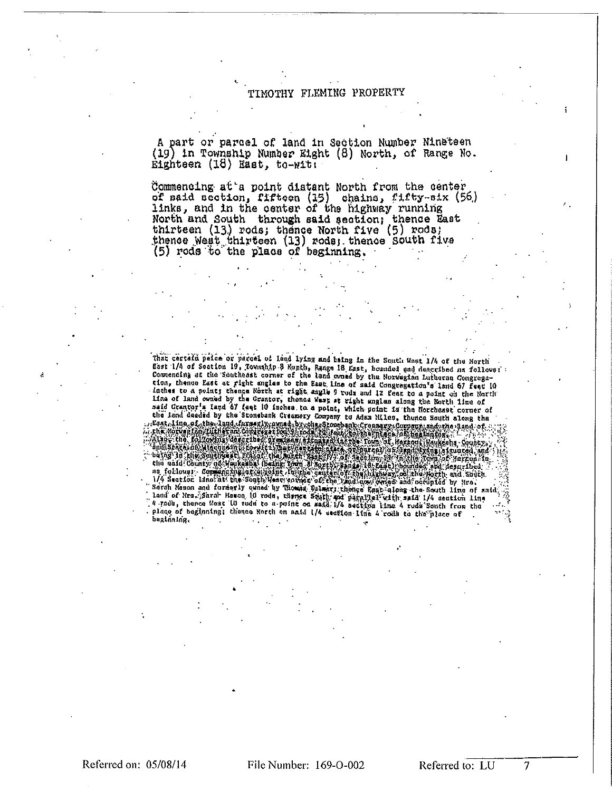#### TIMOTHY FLEMING PROPERTY

A part or parcel of land in Section Number Nineteen (19) in Township Number Eight (8) North, of Range No. Eighteen (18) East, to-with

Commencing at a point distant North from the center of said section, fifteen (15) chains, fifty-six (56)<br>links, and in the center of the highway running North and South through said section; thence East thirteen (13) rods; thence North five (5) rods; thence West thirteen (13) rods; thence South five (5) rods to the place of beginning.

That certain peice or parcel of land lying and baing in the South What 1/4 of the North flast 1/4 of Soction 19, Township 3 North, Range 18 East, bounded and described as follows:<br>Commencing at the Southeast corner of the the land deaded by the Stonebank Creamery Company to Adam Miles, thence South slong the characteristic of the state of the company of opposite free south slong the company of the state of the stand of the state of the foll beginning.

Referred on: 05/08/14

File Number: 169-O-002

Referred to: LU

7

 $\mathbf{I}$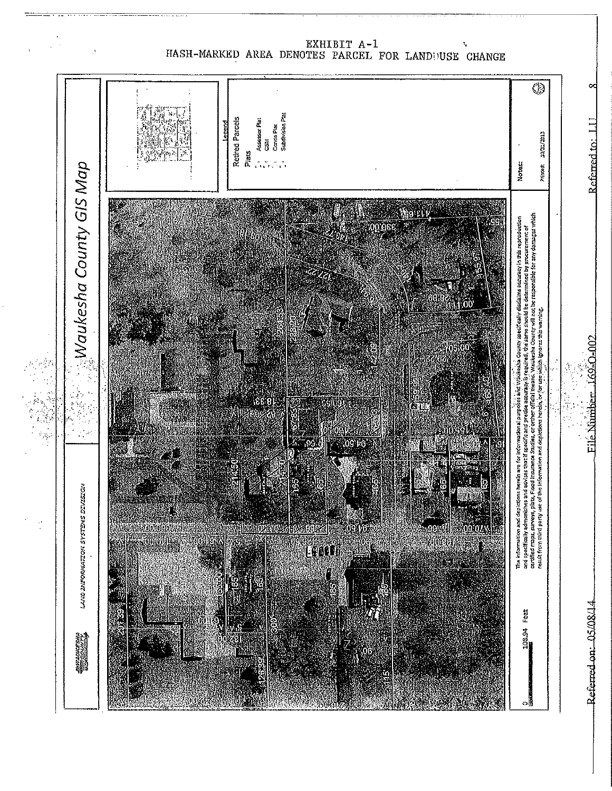